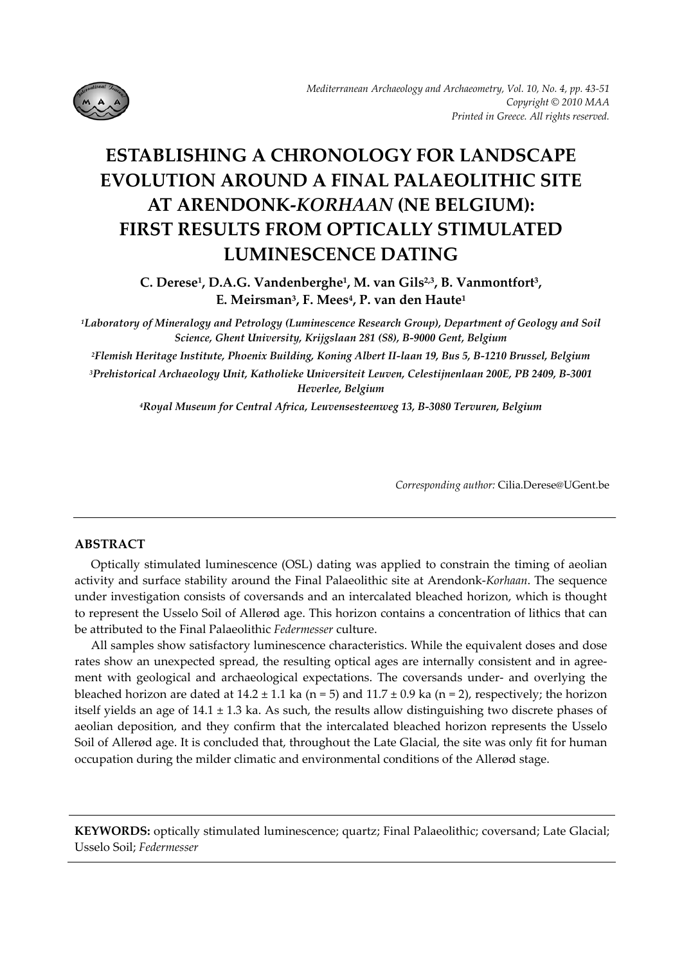

# **ESTABLISHING A CHRONOLOGY FOR LANDSCAPE EVOLUTION AROUND A FINAL PALAEOLITHIC SITE AT ARENDONK‐***KORHAAN* **(NE BELGIUM): FIRST RESULTS FROM OPTICALLY STIMULATED LUMINESCENCE DATING**

**C. Derese1, D.A.G. Vandenberghe1, M. van Gils2,3, B. Vanmontfort3, E. Meirsman3, F. Mees4, P. van den Haute1**

*1Laboratory of Mineralogy and Petrology (Luminescence Research Group), Department of Geology and Soil Science, Ghent University, Krijgslaan 281 (S8), B‐9000 Gent, Belgium*

<sup>2</sup>Flemish Heritage Institute, Phoenix Building, Koning Albert II-laan 19, Bus 5, B-1210 Brussel, Belgium

*3Prehistorical Archaeology Unit, Katholieke Universiteit Leuven, Celestijnenlaan 200E, PB 2409, B‐3001 Heverlee, Belgium*

*4Royal Museum for Central Africa, Leuvensesteenweg 13, B‐3080 Tervuren, Belgium*

*Corresponding author:* Cilia.Derese@UGent.be

## **ABSTRACT**

Optically stimulated luminescence (OSL) dating was applied to constrain the timing of aeolian activity and surface stability around the Final Palaeolithic site at Arendonk‐*Korhaan*. The sequence under investigation consists of coversands and an intercalated bleached horizon, which is thought to represent the Usselo Soil of Allerød age. This horizon contains a concentration of lithics that can be attributed to the Final Palaeolithic *Federmesser* culture.

All samples show satisfactory luminescence characteristics. While the equivalent doses and dose rates show an unexpected spread, the resulting optical ages are internally consistent and in agreement with geological and archaeological expectations. The coversands under- and overlying the bleached horizon are dated at  $14.2 \pm 1.1$  ka (n = 5) and  $11.7 \pm 0.9$  ka (n = 2), respectively; the horizon itself yields an age of  $14.1 \pm 1.3$  ka. As such, the results allow distinguishing two discrete phases of aeolian deposition, and they confirm that the intercalated bleached horizon represents the Usselo Soil of Allerød age. It is concluded that, throughout the Late Glacial, the site was only fit for human occupation during the milder climatic and environmental conditions of the Allerød stage.

**KEYWORDS:** optically stimulated luminescence; quartz; Final Palaeolithic; coversand; Late Glacial; Usselo Soil; *Federmesser*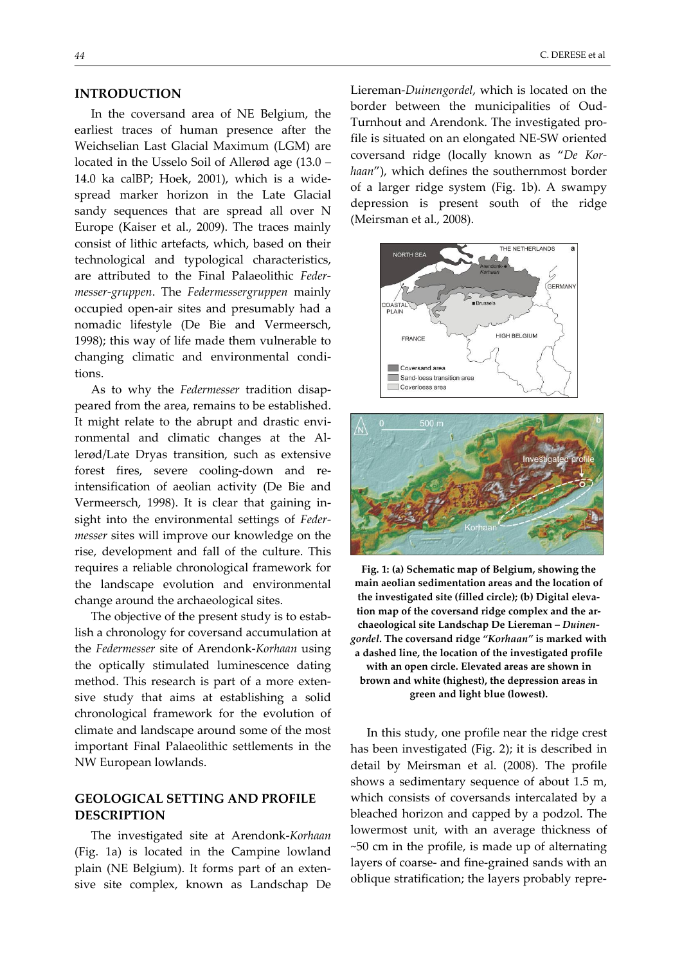## **INTRODUCTION**

In the coversand area of NE Belgium, the earliest traces of human presence after the Weichselian Last Glacial Maximum (LGM) are located in the Usselo Soil of Allerød age (13.0 – 14.0 ka calBP; Hoek, 2001), which is a wide‐ spread marker horizon in the Late Glacial sandy sequences that are spread all over N Europe (Kaiser et al., 2009). The traces mainly consist of lithic artefacts, which, based on their technological and typological characteristics, are attributed to the Final Palaeolithic *Feder‐ messer‐gruppen*. The *Federmessergruppen* mainly occupied open‐air sites and presumably had a nomadic lifestyle (De Bie and Vermeersch, 1998); this way of life made them vulnerable to changing climatic and environmental condi‐ tions.

As to why the *Federmesser* tradition disap‐ peared from the area, remains to be established. It might relate to the abrupt and drastic envi‐ ronmental and climatic changes at the Al‐ lerød/Late Dryas transition, such as extensive forest fires, severe cooling-down and reintensification of aeolian activity (De Bie and Vermeersch, 1998). It is clear that gaining in‐ sight into the environmental settings of *Feder‐ messer* sites will improve our knowledge on the rise, development and fall of the culture. This requires a reliable chronological framework for the landscape evolution and environmental change around the archaeological sites.

The objective of the present study is to estab‐ lish a chronology for coversand accumulation at the *Federmesser* site of Arendonk‐*Korhaan* using the optically stimulated luminescence dating method. This research is part of a more extensive study that aims at establishing a solid chronological framework for the evolution of climate and landscape around some of the most important Final Palaeolithic settlements in the NW European lowlands.

# **GEOLOGICAL SETTING AND PROFILE DESCRIPTION**

The investigated site at Arendonk‐*Korhaan* (Fig. 1a) is located in the Campine lowland plain (NE Belgium). It forms part of an extensive site complex, known as Landschap De Liereman‐*Duinengordel*, which is located on the border between the municipalities of Oud‐ Turnhout and Arendonk. The investigated pro‐ file is situated on an elongated NE‐SW oriented coversand ridge (locally known as "*De Kor‐ haan*"), which defines the southernmost border of a larger ridge system (Fig. 1b). A swampy depression is present south of the ridge (Meirsman et al., 2008).





**Fig. 1: (a) Schematic map of Belgium, showing the main aeolian sedimentation areas and the location of the investigated site (filled circle); (b) Digital eleva‐ tion map of the coversand ridge complex and the ar‐ chaeological site Landschap De Liereman –** *Duinen‐ gordel***. The coversand ridge** *"Korhaan"* **is marked with a dashed line, the location of the investigated profile with an open circle. Elevated areas are shown in brown and white (highest), the depression areas in green and light blue (lowest).**

In this study, one profile near the ridge crest has been investigated (Fig. 2); it is described in detail by Meirsman et al. (2008). The profile shows a sedimentary sequence of about 1.5 m, which consists of coversands intercalated by a bleached horizon and capped by a podzol. The lowermost unit, with an average thickness of ~50 cm in the profile, is made up of alternating layers of coarse‐ and fine‐grained sands with an oblique stratification; the layers probably repre‐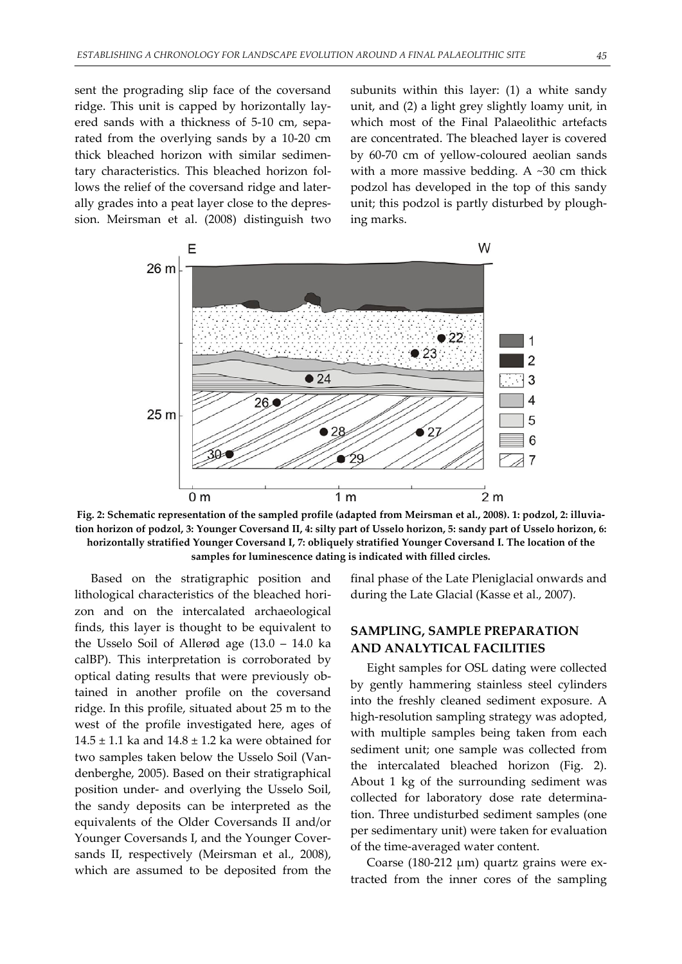sent the prograding slip face of the coversand ridge. This unit is capped by horizontally lay‐ ered sands with a thickness of 5‐10 cm, sepa‐ rated from the overlying sands by a 10‐20 cm thick bleached horizon with similar sedimen‐ tary characteristics. This bleached horizon fol‐ lows the relief of the coversand ridge and laterally grades into a peat layer close to the depres‐ sion. Meirsman et al. (2008) distinguish two subunits within this layer: (1) a white sandy unit, and (2) a light grey slightly loamy unit, in which most of the Final Palaeolithic artefacts are concentrated. The bleached layer is covered by 60‐70 cm of yellow‐coloured aeolian sands with a more massive bedding. A ~30 cm thick podzol has developed in the top of this sandy unit; this podzol is partly disturbed by plough‐ ing marks.



Fig. 2: Schematic representation of the sampled profile (adapted from Meirsman et al., 2008). 1: podzol, 2: illuviation horizon of podzol, 3: Younger Coversand II, 4: silty part of Usselo horizon, 5: sandy part of Usselo horizon, 6: **horizontally stratified Younger Coversand I, 7: obliquely stratified Younger Coversand I. The location of the samples for luminescence dating is indicated with filled circles.**

Based on the stratigraphic position and lithological characteristics of the bleached hori‐ zon and on the intercalated archaeological finds, this layer is thought to be equivalent to the Usselo Soil of Allerød age (13.0 – 14.0 ka calBP). This interpretation is corroborated by optical dating results that were previously ob‐ tained in another profile on the coversand ridge. In this profile, situated about 25 m to the west of the profile investigated here, ages of  $14.5 \pm 1.1$  ka and  $14.8 \pm 1.2$  ka were obtained for two samples taken below the Usselo Soil (Van‐ denberghe, 2005). Based on their stratigraphical position under‐ and overlying the Usselo Soil, the sandy deposits can be interpreted as the equivalents of the Older Coversands II and/or Younger Coversands I, and the Younger Cover‐ sands II, respectively (Meirsman et al., 2008), which are assumed to be deposited from the

final phase of the Late Pleniglacial onwards and during the Late Glacial (Kasse et al., 2007).

# **SAMPLING, SAMPLE PREPARATION AND ANALYTICAL FACILITIES**

Eight samples for OSL dating were collected by gently hammering stainless steel cylinders into the freshly cleaned sediment exposure. A high-resolution sampling strategy was adopted, with multiple samples being taken from each sediment unit; one sample was collected from the intercalated bleached horizon (Fig. 2). About 1 kg of the surrounding sediment was collected for laboratory dose rate determina‐ tion. Three undisturbed sediment samples (one per sedimentary unit) were taken for evaluation of the time‐averaged water content.

Coarse (180‐212 μm) quartz grains were ex‐ tracted from the inner cores of the sampling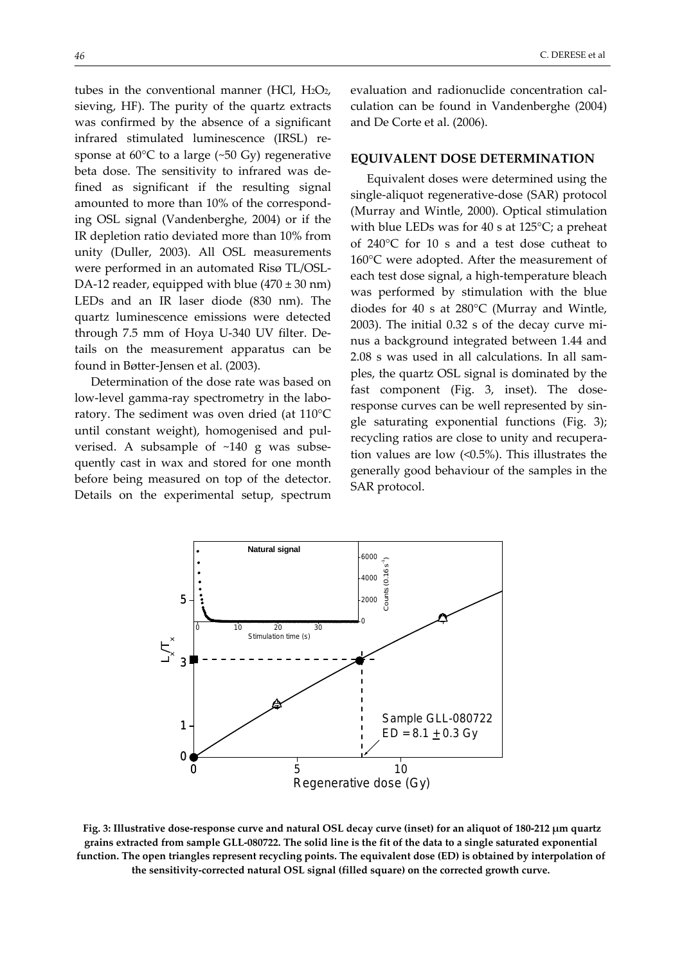tubes in the conventional manner (HCl,  $H_2O_2$ , sieving, HF). The purity of the quartz extracts was confirmed by the absence of a significant infrared stimulated luminescence (IRSL) re‐ sponse at  $60^{\circ}$ C to a large (~50 Gy) regenerative beta dose. The sensitivity to infrared was de‐ fined as significant if the resulting signal amounted to more than 10% of the correspond‐ ing OSL signal (Vandenberghe, 2004) or if the IR depletion ratio deviated more than 10% from unity (Duller, 2003). All OSL measurements were performed in an automated Risø TL/OSL‐ DA-12 reader, equipped with blue  $(470 \pm 30 \text{ nm})$ LEDs and an IR laser diode (830 nm). The quartz luminescence emissions were detected through 7.5 mm of Hoya U‐340 UV filter. De‐ tails on the measurement apparatus can be found in Bøtter‐Jensen et al. (2003).

Determination of the dose rate was based on low-level gamma-ray spectrometry in the laboratory. The sediment was oven dried (at 110°C until constant weight), homogenised and pul‐ verised. A subsample of ~140 g was subsequently cast in wax and stored for one month before being measured on top of the detector. Details on the experimental setup, spectrum evaluation and radionuclide concentration cal‐ culation can be found in Vandenberghe (2004) and De Corte et al. (2006).

#### **EQUIVALENT DOSE DETERMINATION**

Equivalent doses were determined using the single‐aliquot regenerative‐dose (SAR) protocol (Murray and Wintle, 2000). Optical stimulation with blue LEDs was for 40 s at 125°C; a preheat of 240°C for 10 s and a test dose cutheat to 160°C were adopted. After the measurement of each test dose signal, a high‐temperature bleach was performed by stimulation with the blue diodes for 40 s at 280°C (Murray and Wintle, 2003). The initial 0.32 s of the decay curve mi‐ nus a background integrated between 1.44 and 2.08 s was used in all calculations. In all sam‐ ples, the quartz OSL signal is dominated by the fast component (Fig. 3, inset). The doseresponse curves can be well represented by single saturating exponential functions (Fig. 3); recycling ratios are close to unity and recupera‐ tion values are low (<0.5%). This illustrates the generally good behaviour of the samples in the SAR protocol.



Fig. 3: Illustrative dose-response curve and natural OSL decay curve (inset) for an aliquot of 180-212 µm quartz grains extracted from sample GLL-080722. The solid line is the fit of the data to a single saturated exponential function. The open triangles represent recycling points. The equivalent dose (ED) is obtained by interpolation of **the sensitivity‐corrected natural OSL signal (filled square) on the corrected growth curve.**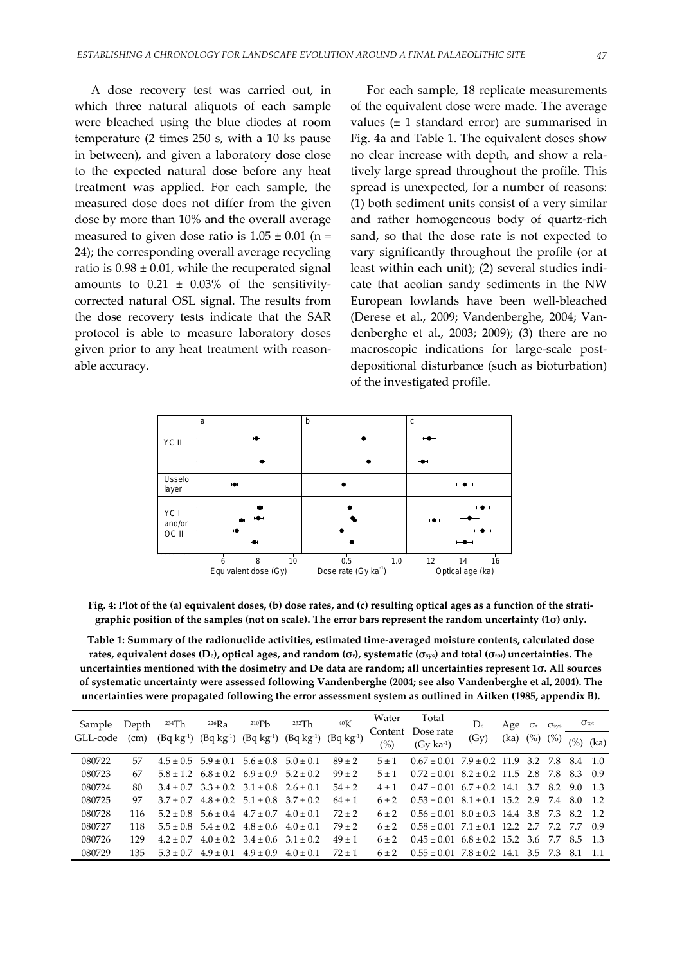A dose recovery test was carried out, in which three natural aliquots of each sample were bleached using the blue diodes at room temperature (2 times 250 s, with a 10 ks pause in between), and given a laboratory dose close to the expected natural dose before any heat treatment was applied. For each sample, the measured dose does not differ from the given dose by more than 10% and the overall average measured to given dose ratio is  $1.05 \pm 0.01$  (n = 24); the corresponding overall average recycling ratio is  $0.98 \pm 0.01$ , while the recuperated signal amounts to  $0.21 \pm 0.03\%$  of the sensitivitycorrected natural OSL signal. The results from the dose recovery tests indicate that the SAR protocol is able to measure laboratory doses given prior to any heat treatment with reason‐ able accuracy.

For each sample, 18 replicate measurements of the equivalent dose were made. The average values  $(\pm 1)$  standard error) are summarised in Fig. 4a and Table 1. The equivalent doses show no clear increase with depth, and show a rela‐ tively large spread throughout the profile. This spread is unexpected, for a number of reasons: (1) both sediment units consist of a very similar and rather homogeneous body of quartz‐rich sand, so that the dose rate is not expected to vary significantly throughout the profile (or at least within each unit); (2) several studies indi‐ cate that aeolian sandy sediments in the NW European lowlands have been well‐bleached (Derese et al., 2009; Vandenberghe, 2004; Van‐ denberghe et al., 2003; 2009); (3) there are no macroscopic indications for large-scale postdepositional disturbance (such as bioturbation) of the investigated profile.



Fig. 4: Plot of the (a) equivalent doses, (b) dose rates, and (c) resulting optical ages as a function of the stratigraphic position of the samples (not on scale). The error bars represent the random uncertainty (10) only.

**Table 1: Summary of the radionuclide activities, estimated time‐averaged moisture contents, calculated dose** rates, equivalent doses (De), optical ages, and random ( $\sigma$ .), systematic ( $\sigma$ <sub>sys</sub>) and total ( $\sigma$ <sub>tot</sub>) uncertainties. The uncertainties mentioned with the dosimetry and De data are random; all uncertainties represent 10. All sources **of systematic uncertainty were assessed following Vandenberghe (2004; see also Vandenberghe et al, 2004). The uncertainties were propagated following the error assessment system as outlined in Aitken (1985, appendix B).**

| Sample<br>GLL-code | Depth<br>(cm) | 234Th       | $^{226}Ra$<br>$(Bq kg^{-1})$ $(Bq kg^{-1})$             | 210P <sub>b</sub><br>$(Bq kg-1)$          | 232Th<br>$(Bq kg-1)$ | 40K<br>$(Bq kg-1)$ | Water<br>(%) | Total<br>Content Dose rate<br>$(Gv \text{ ka}^{-1})$ | $D_e$<br>(Gy) | Age $\sigma_r$<br>(ka) (%) | $\sigma_{\rm sys}$<br>(%) | $\sigma_{\rm tot}$ |      |
|--------------------|---------------|-------------|---------------------------------------------------------|-------------------------------------------|----------------------|--------------------|--------------|------------------------------------------------------|---------------|----------------------------|---------------------------|--------------------|------|
|                    |               |             |                                                         |                                           |                      |                    |              |                                                      |               |                            |                           | (%)                | (ka) |
| 080722             | 57            |             | $4.5 \pm 0.5$ $5.9 \pm 0.1$ $5.6 \pm 0.8$ $5.0 \pm 0.1$ |                                           |                      | $89 + 2$           | $5 + 1$      | $0.67 \pm 0.01$ 7.9 $\pm$ 0.2 11.9 3.2 7.8 8.4 1.0   |               |                            |                           |                    |      |
| 080723             | 67            |             | $5.8 \pm 1.2$ $6.8 \pm 0.2$ $6.9 \pm 0.9$ $5.2 \pm 0.2$ |                                           |                      | $99 + 2$           | $5 + 1$      | $0.72 \pm 0.01$ $8.2 \pm 0.2$ 11.5 2.8 7.8 8.3 0.9   |               |                            |                           |                    |      |
| 080724             | 80            |             | $3.4 \pm 0.7$ $3.3 \pm 0.2$ $3.1 \pm 0.8$ $2.6 \pm 0.1$ |                                           |                      | $54 \pm 2$         | $4 + 1$      | $0.47 \pm 0.01$ 6.7 $\pm$ 0.2 14.1 3.7 8.2 9.0 1.3   |               |                            |                           |                    |      |
| 080725             | 97            | $3.7 + 0.7$ | $4.8 \pm 0.2$ $5.1 \pm 0.8$ $3.7 \pm 0.2$               |                                           |                      | $64 \pm 1$         | $6 + 2$      | $0.53 \pm 0.01$ $8.1 \pm 0.1$ 15.2 2.9 7.4 8.0 1.2   |               |                            |                           |                    |      |
| 080728             | 116           |             | $5.2 \pm 0.8$ $5.6 \pm 0.4$ $4.7 \pm 0.7$ $4.0 \pm 0.1$ |                                           |                      | $72 + 2$           | $6 + 2$      | $0.56 \pm 0.01$ $8.0 \pm 0.3$ 14.4 3.8 7.3 8.2 1.2   |               |                            |                           |                    |      |
| 080727             | 118           |             | $5.5 \pm 0.8$ $5.4 \pm 0.2$ $4.8 \pm 0.6$ $4.0 \pm 0.1$ |                                           |                      | $79 + 2$           | $6 + 2$      | $0.58 \pm 0.01$ $7.1 \pm 0.1$ 12.2 2.7 7.2 7.7 0.9   |               |                            |                           |                    |      |
| 080726             | 129           | $4.2 + 0.7$ |                                                         | $4.0 \pm 0.2$ $3.4 \pm 0.6$ $3.1 \pm 0.2$ |                      | $49 \pm 1$         | $6 + 2$      | $0.45 \pm 0.01$ $6.8 \pm 0.2$ 15.2 3.6 7.7 8.5 1.3   |               |                            |                           |                    |      |
| 080729             | 135           | $5.3 + 0.7$ | $4.9 + 0.1$                                             | $4.9 \pm 0.9$                             | $4.0 \pm 0.1$        | $72 + 1$           | $6 + 2$      | $0.55 \pm 0.01$ $7.8 \pm 0.2$ 14.1 3.5 7.3 8.1 1.1   |               |                            |                           |                    |      |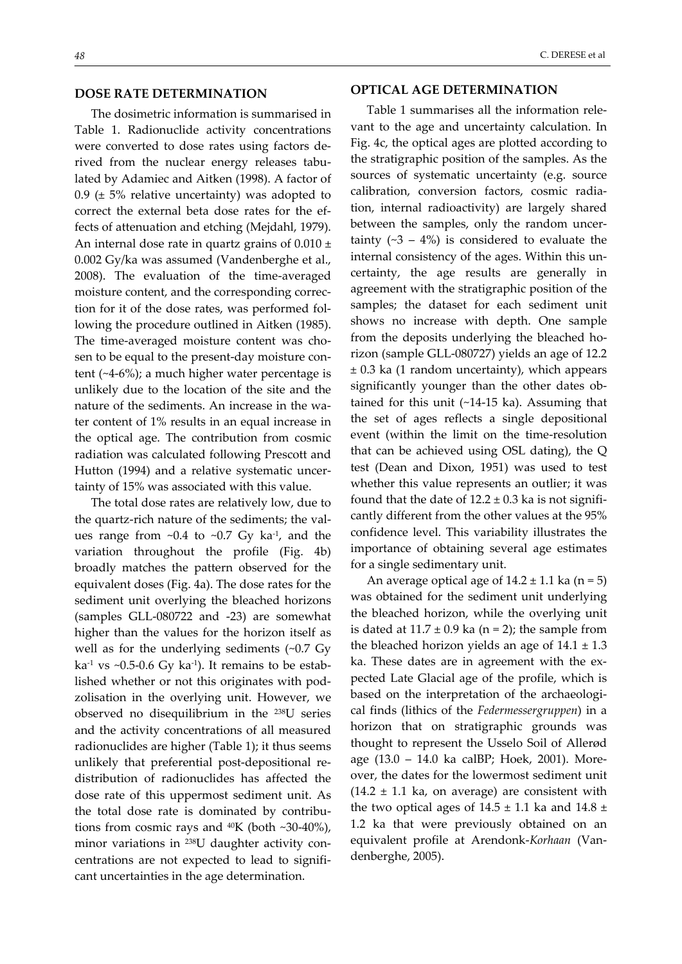## **DOSE RATE DETERMINATION**

The dosimetric information is summarised in Table 1. Radionuclide activity concentrations were converted to dose rates using factors de‐ rived from the nuclear energy releases tabulated by Adamiec and Aitken (1998). A factor of 0.9 ( $\pm$  5% relative uncertainty) was adopted to correct the external beta dose rates for the ef‐ fects of attenuation and etching (Mejdahl, 1979). An internal dose rate in quartz grains of  $0.010 \pm$ 0.002 Gy/ka was assumed (Vandenberghe et al., 2008). The evaluation of the time‐averaged moisture content, and the corresponding correc‐ tion for it of the dose rates, was performed fol‐ lowing the procedure outlined in Aitken (1985). The time-averaged moisture content was chosen to be equal to the present-day moisture content (~4‐6%); a much higher water percentage is unlikely due to the location of the site and the nature of the sediments. An increase in the water content of 1% results in an equal increase in the optical age. The contribution from cosmic radiation was calculated following Prescott and Hutton (1994) and a relative systematic uncer‐ tainty of 15% was associated with this value.

The total dose rates are relatively low, due to the quartz-rich nature of the sediments; the values range from  $\sim 0.4$  to  $\sim 0.7$  Gy ka<sup>-1</sup>, and the variation throughout the profile (Fig. 4b) broadly matches the pattern observed for the equivalent doses (Fig. 4a). The dose rates for the sediment unit overlying the bleached horizons (samples GLL‐080722 and ‐23) are somewhat higher than the values for the horizon itself as well as for the underlying sediments (~0.7 Gy ka<sup>-1</sup> vs ~0.5-0.6 Gy ka<sup>-1</sup>). It remains to be established whether or not this originates with pod‐ zolisation in the overlying unit. However, we observed no disequilibrium in the 238U series and the activity concentrations of all measured radionuclides are higher (Table 1); it thus seems unlikely that preferential post‐depositional re‐ distribution of radionuclides has affected the dose rate of this uppermost sediment unit. As the total dose rate is dominated by contribu‐ tions from cosmic rays and  $40K$  (both ~30-40%), minor variations in <sup>238</sup>U daughter activity concentrations are not expected to lead to signifi‐ cant uncertainties in the age determination.

## **OPTICAL AGE DETERMINATION**

Table 1 summarises all the information rele‐ vant to the age and uncertainty calculation. In Fig. 4c, the optical ages are plotted according to the stratigraphic position of the samples. As the sources of systematic uncertainty (e.g. source calibration, conversion factors, cosmic radia‐ tion, internal radioactivity) are largely shared between the samples, only the random uncertainty  $(-3 - 4\%)$  is considered to evaluate the internal consistency of the ages. Within this un‐ certainty, the age results are generally in agreement with the stratigraphic position of the samples; the dataset for each sediment unit shows no increase with depth. One sample from the deposits underlying the bleached ho‐ rizon (sample GLL‐080727) yields an age of 12.2 ± 0.3 ka (1 random uncertainty), which appears significantly younger than the other dates ob‐ tained for this unit (~14‐15 ka). Assuming that the set of ages reflects a single depositional event (within the limit on the time‐resolution that can be achieved using OSL dating), the Q test (Dean and Dixon, 1951) was used to test whether this value represents an outlier; it was found that the date of  $12.2 \pm 0.3$  ka is not significantly different from the other values at the 95% confidence level. This variability illustrates the importance of obtaining several age estimates for a single sedimentary unit.

An average optical age of  $14.2 \pm 1.1$  ka (n = 5) was obtained for the sediment unit underlying the bleached horizon, while the overlying unit is dated at  $11.7 \pm 0.9$  ka (n = 2); the sample from the bleached horizon yields an age of  $14.1 \pm 1.3$ ka. These dates are in agreement with the expected Late Glacial age of the profile, which is based on the interpretation of the archaeological finds (lithics of the *Federmessergruppen*) in a horizon that on stratigraphic grounds was thought to represent the Usselo Soil of Allerød age (13.0 – 14.0 ka calBP; Hoek, 2001). More‐ over, the dates for the lowermost sediment unit  $(14.2 \pm 1.1 \text{ ka})$ , on average) are consistent with the two optical ages of  $14.5 \pm 1.1$  ka and  $14.8 \pm 1.1$ 1.2 ka that were previously obtained on an equivalent profile at Arendonk‐*Korhaan* (Van‐ denberghe, 2005).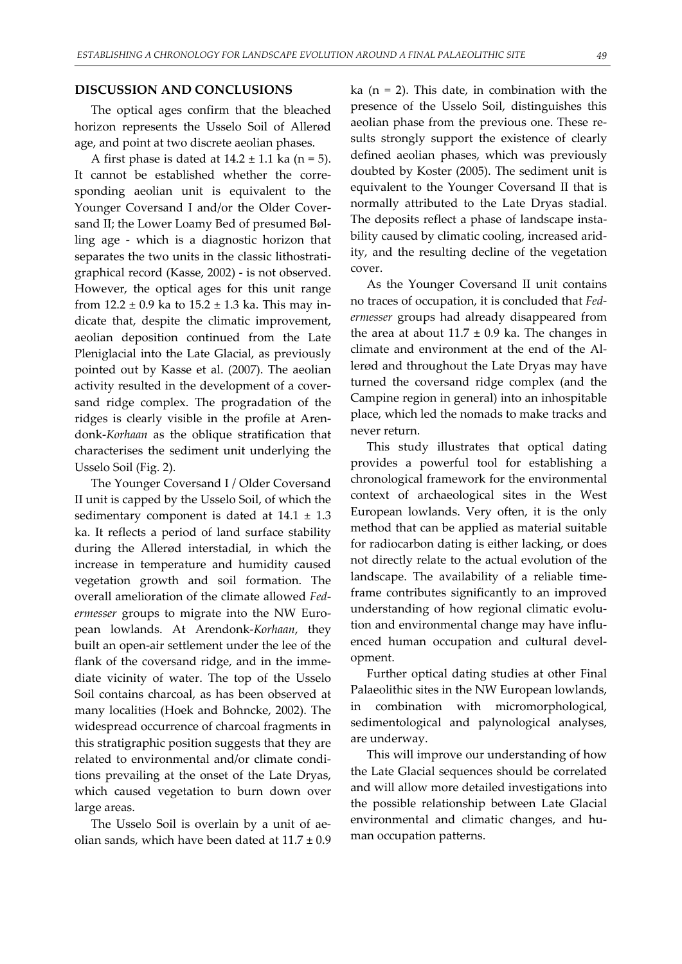#### **DISCUSSION AND CONCLUSIONS**

The optical ages confirm that the bleached horizon represents the Usselo Soil of Allerød age, and point at two discrete aeolian phases.

A first phase is dated at  $14.2 \pm 1.1$  ka (n = 5). It cannot be established whether the corresponding aeolian unit is equivalent to the Younger Coversand I and/or the Older Cover‐ sand II; the Lower Loamy Bed of presumed Bølling age ‐ which is a diagnostic horizon that separates the two units in the classic lithostrati‐ graphical record (Kasse, 2002) ‐ is not observed. However, the optical ages for this unit range from  $12.2 \pm 0.9$  ka to  $15.2 \pm 1.3$  ka. This may indicate that, despite the climatic improvement, aeolian deposition continued from the Late Pleniglacial into the Late Glacial, as previously pointed out by Kasse et al. (2007). The aeolian activity resulted in the development of a cover‐ sand ridge complex. The progradation of the ridges is clearly visible in the profile at Arendonk‐*Korhaan* as the oblique stratification that characterises the sediment unit underlying the Usselo Soil (Fig. 2).

The Younger Coversand I / Older Coversand II unit is capped by the Usselo Soil, of which the sedimentary component is dated at  $14.1 \pm 1.3$ ka. It reflects a period of land surface stability during the Allerød interstadial, in which the increase in temperature and humidity caused vegetation growth and soil formation. The overall amelioration of the climate allowed *Fed‐ ermesser* groups to migrate into the NW Euro‐ pean lowlands. At Arendonk‐*Korhaan*, they built an open‐air settlement under the lee of the flank of the coversand ridge, and in the immediate vicinity of water. The top of the Usselo Soil contains charcoal, as has been observed at many localities (Hoek and Bohncke, 2002). The widespread occurrence of charcoal fragments in this stratigraphic position suggests that they are related to environmental and/or climate condi‐ tions prevailing at the onset of the Late Dryas, which caused vegetation to burn down over large areas.

The Usselo Soil is overlain by a unit of aeolian sands, which have been dated at  $11.7 \pm 0.9$  ka ( $n = 2$ ). This date, in combination with the presence of the Usselo Soil, distinguishes this aeolian phase from the previous one. These re‐ sults strongly support the existence of clearly defined aeolian phases, which was previously doubted by Koster (2005). The sediment unit is equivalent to the Younger Coversand II that is normally attributed to the Late Dryas stadial. The deposits reflect a phase of landscape insta‐ bility caused by climatic cooling, increased arid‐ ity, and the resulting decline of the vegetation cover.

As the Younger Coversand II unit contains no traces of occupation, it is concluded that *Fed‐ ermesser* groups had already disappeared from the area at about  $11.7 \pm 0.9$  ka. The changes in climate and environment at the end of the Al‐ lerød and throughout the Late Dryas may have turned the coversand ridge complex (and the Campine region in general) into an inhospitable place, which led the nomads to make tracks and never return.

This study illustrates that optical dating provides a powerful tool for establishing a chronological framework for the environmental context of archaeological sites in the West European lowlands. Very often, it is the only method that can be applied as material suitable for radiocarbon dating is either lacking, or does not directly relate to the actual evolution of the landscape. The availability of a reliable time‐ frame contributes significantly to an improved understanding of how regional climatic evolu‐ tion and environmental change may have influ‐ enced human occupation and cultural devel‐ opment.

Further optical dating studies at other Final Palaeolithic sites in the NW European lowlands, in combination with micromorphological, sedimentological and palynological analyses, are underway.

This will improve our understanding of how the Late Glacial sequences should be correlated and will allow more detailed investigations into the possible relationship between Late Glacial environmental and climatic changes, and human occupation patterns.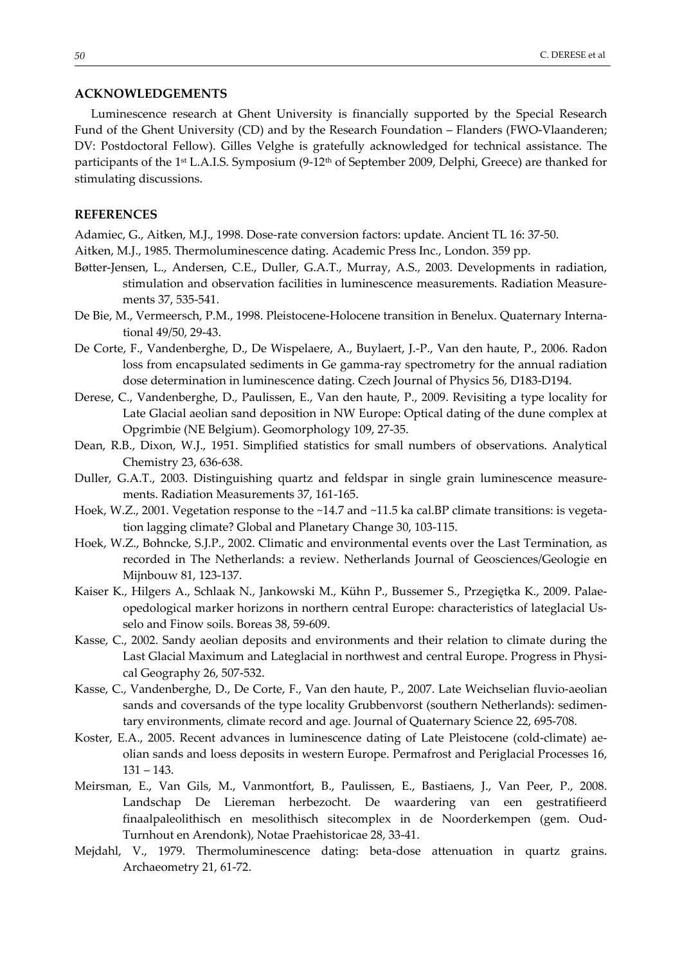## **ACKNOWLEDGEMENTS**

Luminescence research at Ghent University is financially supported by the Special Research Fund of the Ghent University (CD) and by the Research Foundation – Flanders (FWO-Vlaanderen; DV: Postdoctoral Fellow). Gilles Velghe is gratefully acknowledged for technical assistance. The participants of the 1<sup>st</sup> L.A.I.S. Symposium (9-12<sup>th</sup> of September 2009, Delphi, Greece) are thanked for stimulating discussions.

#### **REFERENCES**

Adamiec, G., Aitken, M.J., 1998. Dose‐rate conversion factors: update. Ancient TL 16: 37‐50.

- Aitken, M.J., 1985. Thermoluminescence dating. Academic Press Inc., London. 359 pp.
- Bøtter‐Jensen, L., Andersen, C.E., Duller, G.A.T., Murray, A.S., 2003. Developments in radiation, stimulation and observation facilities in luminescence measurements. Radiation Measure‐ ments 37, 535‐541.
- De Bie, M., Vermeersch, P.M., 1998. Pleistocene-Holocene transition in Benelux. Quaternary International 49/50, 29‐43.
- De Corte, F., Vandenberghe, D., De Wispelaere, A., Buylaert, J.‐P., Van den haute, P., 2006. Radon loss from encapsulated sediments in Ge gamma‐ray spectrometry for the annual radiation dose determination in luminescence dating. Czech Journal of Physics 56, D183‐D194.
- Derese, C., Vandenberghe, D., Paulissen, E., Van den haute, P., 2009. Revisiting a type locality for Late Glacial aeolian sand deposition in NW Europe: Optical dating of the dune complex at Opgrimbie (NE Belgium). Geomorphology 109, 27‐35.
- Dean, R.B., Dixon, W.J., 1951. Simplified statistics for small numbers of observations. Analytical Chemistry 23, 636‐638.
- Duller, G.A.T., 2003. Distinguishing quartz and feldspar in single grain luminescence measure‐ ments. Radiation Measurements 37, 161‐165.
- Hoek, W.Z., 2001. Vegetation response to the ~14.7 and ~11.5 ka cal.BP climate transitions: is vegetation lagging climate? Global and Planetary Change 30, 103‐115.
- Hoek, W.Z., Bohncke, S.J.P., 2002. Climatic and environmental events over the Last Termination, as recorded in The Netherlands: a review. Netherlands Journal of Geosciences/Geologie en Mijnbouw 81, 123‐137.
- Kaiser K., Hilgers A., Schlaak N., Jankowski M., Kühn P., Bussemer S., Przegiętka K., 2009. Palae‐ opedological marker horizons in northern central Europe: characteristics of lateglacial Us‐ selo and Finow soils. Boreas 38, 59‐609.
- Kasse, C., 2002. Sandy aeolian deposits and environments and their relation to climate during the Last Glacial Maximum and Lateglacial in northwest and central Europe. Progress in Physical Geography 26, 507‐532.
- Kasse, C., Vandenberghe, D., De Corte, F., Van den haute, P., 2007. Late Weichselian fluvio‐aeolian sands and coversands of the type locality Grubbenvorst (southern Netherlands): sedimen‐ tary environments, climate record and age. Journal of Quaternary Science 22, 695‐708.
- Koster, E.A., 2005. Recent advances in luminescence dating of Late Pleistocene (cold-climate) aeolian sands and loess deposits in western Europe. Permafrost and Periglacial Processes 16, 131 – 143.
- Meirsman, E., Van Gils, M., Vanmontfort, B., Paulissen, E., Bastiaens, J., Van Peer, P., 2008. Landschap De Liereman herbezocht. De waardering van een gestratifieerd finaalpaleolithisch en mesolithisch sitecomplex in de Noorderkempen (gem. Oud‐ Turnhout en Arendonk), Notae Praehistoricae 28, 33‐41.
- Mejdahl, V., 1979. Thermoluminescence dating: beta‐dose attenuation in quartz grains. Archaeometry 21, 61‐72.